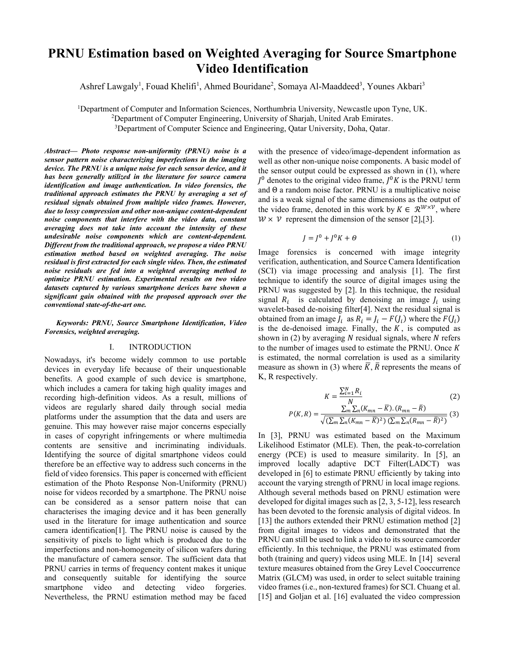# **PRNU Estimation based on Weighted Averaging for Source Smartphone Video Identification**

Ashref Lawgaly<sup>1</sup>, Fouad Khelifi<sup>1</sup>, Ahmed Bouridane<sup>2</sup>, Somaya Al-Maaddeed<sup>3</sup>, Younes Akbari<sup>3</sup>

<sup>1</sup>Department of Computer and Information Sciences, Northumbria University, Newcastle upon Tyne, UK.<br><sup>2</sup>Department of Computer Engineering, University of Shariah, United Arab Emirates <sup>2</sup>Department of Computer Engineering, University of Sharjah, United Arab Emirates. <sup>3</sup>Department of Computer Science and Engineering, Qatar University, Doha, Qatar.

*Abstract— Photo response non-uniformity (PRNU) noise is a sensor pattern noise characterizing imperfections in the imaging device. The PRNU is a unique noise for each sensor device, and it has been generally utilized in the literature for source camera identification and image authentication. In video forensics, the traditional approach estimates the PRNU by averaging a set of residual signals obtained from multiple video frames. However, due to lossy compression and other non-unique content-dependent noise components that interfere with the video data, constant averaging does not take into account the intensity of these undesirable noise components which are content-dependent. Different from the traditional approach, we propose a video PRNU estimation method based on weighted averaging. The noise residual is first extracted for each single video. Then, the estimated noise residuals are fed into a weighted averaging method to optimize PRNU estimation. Experimental results on two video datasets captured by various smartphone devices have shown a significant gain obtained with the proposed approach over the conventional state-of-the-art one.* 

*Keywords: PRNU, Source Smartphone Identification, Video Forensics, weighted averaging.* 

### I. INTRODUCTION

Nowadays, it's become widely common to use portable devices in everyday life because of their unquestionable benefits. A good example of such device is smartphone, which includes a camera for taking high quality images and recording high-definition videos. As a result, millions of videos are regularly shared daily through social media platforms under the assumption that the data and users are genuine. This may however raise major concerns especially in cases of copyright infringements or where multimedia contents are sensitive and incriminating individuals. Identifying the source of digital smartphone videos could therefore be an effective way to address such concerns in the field of video forensics. This paper is concerned with efficient estimation of the Photo Response Non-Uniformity (PRNU) noise for videos recorded by a smartphone. The PRNU noise can be considered as a sensor pattern noise that can characterises the imaging device and it has been generally used in the literature for image authentication and source camera identification[1]. The PRNU noise is caused by the sensitivity of pixels to light which is produced due to the imperfections and non-homogeneity of silicon wafers during the manufacture of camera sensor. The sufficient data that PRNU carries in terms of frequency content makes it unique and consequently suitable for identifying the source smartphone video and detecting video forgeries. Nevertheless, the PRNU estimation method may be faced

with the presence of video/image-dependent information as well as other non-unique noise components. A basic model of the sensor output could be expressed as shown in (1), where  $I^0$  denotes to the original video frame,  $I^0 K$  is the PRNU term and Θ a random noise factor. PRNU is a multiplicative noise and is a weak signal of the same dimensions as the output of the video frame, denoted in this work by  $K \in \mathbb{R}^{W \times V}$ , where  $W \times V$  represent the dimension of the sensor [2],[3].

$$
J = J^0 + J^0 K + \Theta \tag{1}
$$

Image forensics is concerned with image integrity verification, authentication, and Source Camera Identification (SCI) via image processing and analysis [1]. The first technique to identify the source of digital images using the PRNU was suggested by [2]. In this technique, the residual signal  $R_i$  is calculated by denoising an image  $I_i$  using wavelet-based de-noising filter[4]. Next the residual signal is obtained from an image  $J_i$  as  $R_i = J_i - F(J_i)$  where the  $F(J_i)$ is the de-denoised image. Finally, the  $K$ , is computed as shown in  $(2)$  by averaging N residual signals, where N refers to the number of images used to estimate the PRNU. Once  $K$ is estimated, the normal correlation is used as a similarity measure as shown in (3) where  $\overline{K}$ ,  $\overline{R}$  represents the means of K, R respectively.

$$
K = \frac{\sum_{i=1}^{N} R_i}{N} \tag{2}
$$

$$
P(K,R) = \frac{\sum_{m} \sum_{n} (K_{mn} - \bar{K}). (R_{mn} - \bar{R})}{\sqrt{(\sum_{m} \sum_{n} (K_{mn} - \bar{K})^{2}) (\sum_{m} \sum_{n} (R_{mn} - \bar{R})^{2})}} (3)
$$

In [3], PRNU was estimated based on the Maximum Likelihood Estimator (MLE). Then, the peak-to-correlation energy (PCE) is used to measure similarity. In [5], an improved locally adaptive DCT Filter(LADCT) was developed in [6] to estimate PRNU efficiently by taking into account the varying strength of PRNU in local image regions. Although several methods based on PRNU estimation were developed for digital images such as [2, 3, 5-12], less research has been devoted to the forensic analysis of digital videos. In [13] the authors extended their PRNU estimation method [2] from digital images to videos and demonstrated that the PRNU can still be used to link a video to its source camcorder efficiently. In this technique, the PRNU was estimated from both (training and query) videos using MLE. In [14] several texture measures obtained from the Grey Level Cooccurrence Matrix (GLCM) was used, in order to select suitable training video frames (i.e., non-textured frames) for SCI. Chuang et al. [15] and Goljan et al. [16] evaluated the video compression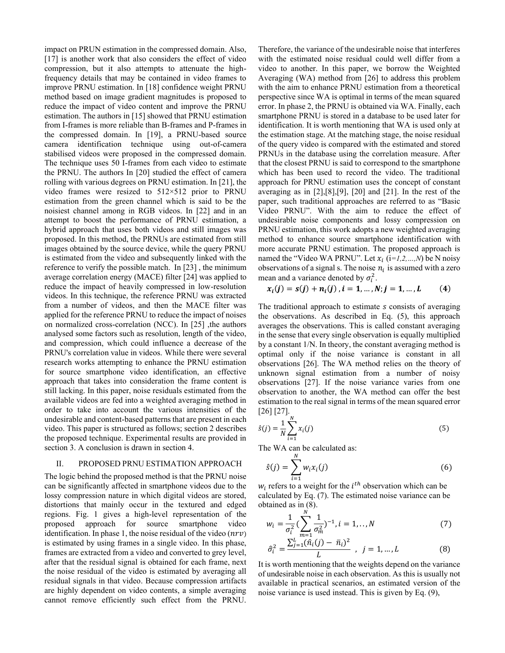impact on PRUN estimation in the compressed domain. Also, [17] is another work that also considers the effect of video compression, but it also attempts to attenuate the highfrequency details that may be contained in video frames to improve PRNU estimation. In [18] confidence weight PRNU method based on image gradient magnitudes is proposed to reduce the impact of video content and improve the PRNU estimation. The authors in [15] showed that PRNU estimation from I-frames is more reliable than B-frames and P-frames in the compressed domain. In [19], a PRNU-based source camera identification technique using out-of-camera stabilised videos were proposed in the compressed domain. The technique uses 50 I-frames from each video to estimate the PRNU. The authors In [20] studied the effect of camera rolling with various degrees on PRNU estimation. In [21], the video frames were resized to 512×512 prior to PRNU estimation from the green channel which is said to be the noisiest channel among in RGB videos. In [22] and in an attempt to boost the performance of PRNU estimation, a hybrid approach that uses both videos and still images was proposed. In this method, the PRNUs are estimated from still images obtained by the source device, while the query PRNU is estimated from the video and subsequently linked with the reference to verify the possible match. In [23] , the minimum average correlation energy (MACE) filter [24] was applied to reduce the impact of heavily compressed in low-resolution videos. In this technique, the reference PRNU was extracted from a number of videos, and then the MACE filter was applied for the reference PRNU to reduce the impact of noises on normalized cross-correlation (NCC). In [25] ,the authors analysed some factors such as resolution, length of the video, and compression, which could influence a decrease of the PRNU's correlation value in videos. While there were several research works attempting to enhance the PRNU estimation for source smartphone video identification, an effective approach that takes into consideration the frame content is still lacking. In this paper, noise residuals estimated from the available videos are fed into a weighted averaging method in order to take into account the various intensities of the undesirable and content-based patterns that are present in each video. This paper is structured as follows; section 2 describes the proposed technique. Experimental results are provided in section 3. A conclusion is drawn in section 4.

#### II. PROPOSED PRNU ESTIMATION APPROACH

The logic behind the proposed method is that the PRNU noise can be significantly affected in smartphone videos due to the lossy compression nature in which digital videos are stored, distortions that mainly occur in the textured and edged regions. Fig. 1 gives a high-level representation of the proposed approach for source smartphone video identification. In phase 1, the noise residual of the video  $(nrv)$ is estimated by using frames in a single video. In this phase, frames are extracted from a video and converted to grey level, after that the residual signal is obtained for each frame, next the noise residual of the video is estimated by averaging all residual signals in that video. Because compression artifacts are highly dependent on video contents, a simple averaging cannot remove efficiently such effect from the PRNU. Therefore, the variance of the undesirable noise that interferes with the estimated noise residual could well differ from a video to another. In this paper, we borrow the Weighted Averaging (WA) method from [26] to address this problem with the aim to enhance PRNU estimation from a theoretical perspective since WA is optimal in terms of the mean squared error. In phase 2, the PRNU is obtained via WA. Finally, each smartphone PRNU is stored in a database to be used later for identification. It is worth mentioning that WA is used only at the estimation stage. At the matching stage, the noise residual of the query video is compared with the estimated and stored PRNUs in the database using the correlation measure. After that the closest PRNU is said to correspond to the smartphone which has been used to record the video. The traditional approach for PRNU estimation uses the concept of constant averaging as in [2],[8],[9], [20] and [21]. In the rest of the paper, such traditional approaches are referred to as "Basic Video PRNU". With the aim to reduce the effect of undesirable noise components and lossy compression on PRNU estimation, this work adopts a new weighted averaging method to enhance source smartphone identification with more accurate PRNU estimation. The proposed approach is named the "Video WA PRNU". Let  $x_i$  ( $i=1,2,...,N$ ) be N noisy observations of a signal s. The noise  $n_i$  is assumed with a zero mean and a variance denoted by  $\sigma_i^2$ .

$$
x_i(j) = s(j) + n_i(j), i = 1, ..., N; j = 1, ..., L
$$
 (4)

The traditional approach to estimate s consists of averaging the observations. As described in Eq. (5), this approach averages the observations. This is called constant averaging in the sense that every single observation is equally multiplied by a constant 1/N. In theory, the constant averaging method is optimal only if the noise variance is constant in all observations [26]. The WA method relies on the theory of unknown signal estimation from a number of noisy observations [27]. If the noise variance varies from one observation to another, the WA method can offer the best estimation to the real signal in terms of the mean squared error  $[26] [27]$ .

$$
\hat{s}(j) = \frac{1}{N} \sum_{i=1}^{N} x_i(j)
$$
\n(5)

The WA can be calculated as:

$$
\hat{s}(j) = \sum_{i=1}^{N} w_i x_i(j) \tag{6}
$$

 $w_i$  refers to a weight for the  $i^{th}$  observation which can be calculated by Eq. (7). The estimated noise variance can be obtained as in (8).

$$
w_i = \frac{1}{\sigma_i^2} \left( \sum_{m=1}^N \frac{1}{\sigma_m^2} \right)^{-1}, i = 1, ..., N
$$
 (7)

$$
\hat{\sigma}_i^2 = \frac{\sum_{j=1}^{L} (\hat{n}_i(j) - \bar{n}_i)^2}{L} , \quad j = 1, ..., L
$$
 (8)

It is worth mentioning that the weights depend on the variance of undesirable noise in each observation. As this is usually not available in practical scenarios, an estimated version of the noise variance is used instead. This is given by Eq. (9),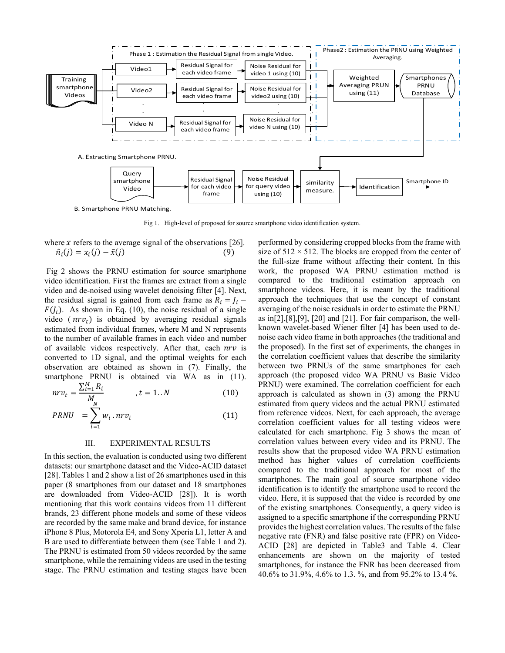

Fig 1. High-level of proposed for source smartphone video identification system.

where 
$$
\bar{x}
$$
 refers to the average signal of the observations [26].  
\n $\hat{n}_i(j) = x_i(j) - \bar{x}(j)$  (9)

 Fig 2 shows the PRNU estimation for source smartphone video identification. First the frames are extract from a single video and de-noised using wavelet denoising filter [4]. Next, the residual signal is gained from each frame as  $R_i = J_i$  –  $F(J_i)$ . As shown in Eq. (10), the noise residual of a single video ( $nrv_t$ ) is obtained by averaging residual signals estimated from individual frames, where M and N represents to the number of available frames in each video and number of available videos respectively. After that, each  $nrv$  is converted to 1D signal, and the optimal weights for each observation are obtained as shown in (7). Finally, the smartphone PRNU is obtained via WA as in (11).

$$
nrv_t = \frac{\sum_{i=1}^{M} R_i}{M_N} \qquad , t = 1..N \qquad (10)
$$

$$
PRNU = \sum_{i=1} w_i . nrv_i \tag{11}
$$

#### III. EXPERIMENTAL RESULTS

In this section, the evaluation is conducted using two different datasets: our smartphone dataset and the Video-ACID dataset [28]. Tables 1 and 2 show a list of 26 smartphones used in this paper (8 smartphones from our dataset and 18 smartphones are downloaded from Video-ACID [28]). It is worth mentioning that this work contains videos from 11 different brands, 23 different phone models and some of these videos are recorded by the same make and brand device, for instance iPhone 8 Plus, Motorola E4, and Sony Xperia L1, letter A and B are used to differentiate between them (see Table 1 and 2). The PRNU is estimated from 50 videos recorded by the same smartphone, while the remaining videos are used in the testing stage. The PRNU estimation and testing stages have been

performed by considering cropped blocks from the frame with size of  $512 \times 512$ . The blocks are cropped from the center of the full-size frame without affecting their content. In this work, the proposed WA PRNU estimation method is compared to the traditional estimation approach on smartphone videos. Here, it is meant by the traditional approach the techniques that use the concept of constant averaging of the noise residuals in order to estimate the PRNU as in[2],[8],[9], [20] and [21]. For fair comparison, the wellknown wavelet-based Wiener filter [4] has been used to denoise each video frame in both approaches (the traditional and the proposed). In the first set of experiments, the changes in the correlation coefficient values that describe the similarity between two PRNUs of the same smartphones for each approach (the proposed video WA PRNU vs Basic Video PRNU) were examined. The correlation coefficient for each approach is calculated as shown in (3) among the PRNU estimated from query videos and the actual PRNU estimated from reference videos. Next, for each approach, the average correlation coefficient values for all testing videos were calculated for each smartphone. Fig 3 shows the mean of correlation values between every video and its PRNU. The results show that the proposed video WA PRNU estimation method has higher values of correlation coefficients compared to the traditional approach for most of the smartphones. The main goal of source smartphone video identification is to identify the smartphone used to record the video. Here, it is supposed that the video is recorded by one of the existing smartphones. Consequently, a query video is assigned to a specific smartphone if the corresponding PRNU provides the highest correlation values. The results of the false negative rate (FNR) and false positive rate (FPR) on Video-ACID [28] are depicted in Table3 and Table 4. Clear enhancements are shown on the majority of tested smartphones, for instance the FNR has been decreased from 40.6% to 31.9%, 4.6% to 1.3. %, and from 95.2% to 13.4 %.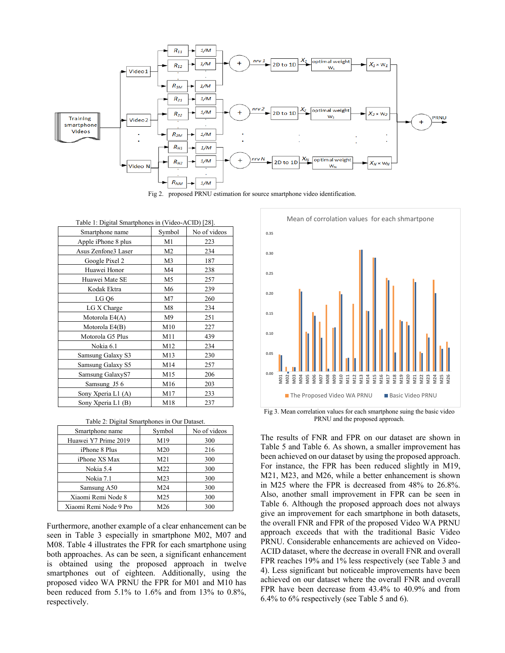

Fig 2. proposed PRNU estimation for source smartphone video identification.

| Table 1: Digital Smartphones in (Video-ACID) [28]. |                |              |  |  |  |  |  |  |  |  |
|----------------------------------------------------|----------------|--------------|--|--|--|--|--|--|--|--|
| Smartphone name                                    | Symbol         | No of videos |  |  |  |  |  |  |  |  |
| Apple iPhone 8 plus                                | M1             | 223          |  |  |  |  |  |  |  |  |
| Asus Zenfone3 Laser                                | M <sub>2</sub> | 234          |  |  |  |  |  |  |  |  |
| Google Pixel 2                                     | M <sub>3</sub> | 187          |  |  |  |  |  |  |  |  |
| Huawei Honor                                       | M4             | 238          |  |  |  |  |  |  |  |  |
| Huawei Mate SE                                     | M <sub>5</sub> | 257          |  |  |  |  |  |  |  |  |
| Kodak Ektra                                        | M6             | 239          |  |  |  |  |  |  |  |  |
| LG Q6                                              | M7             | 260          |  |  |  |  |  |  |  |  |
| LG X Charge                                        | M8             | 234          |  |  |  |  |  |  |  |  |
| Motorola E4(A)                                     | M <sub>9</sub> | 251          |  |  |  |  |  |  |  |  |
| Motorola E4(B)                                     | M10            | 227          |  |  |  |  |  |  |  |  |
| Motorola G5 Plus                                   | M11            | 439          |  |  |  |  |  |  |  |  |
| Nokia 6.1                                          | M12            | 234          |  |  |  |  |  |  |  |  |
| Samsung Galaxy S3                                  | M13            | 230          |  |  |  |  |  |  |  |  |
| Samsung Galaxy S5                                  | M14            | 257          |  |  |  |  |  |  |  |  |
| Samsung GalaxyS7                                   | M15            | 206          |  |  |  |  |  |  |  |  |
| Samsung J5 6                                       | M16            | 203          |  |  |  |  |  |  |  |  |
| Sony Xperia L1 (A)                                 | M17            | 233          |  |  |  |  |  |  |  |  |
| Sony Xperia L1 (B)                                 | M18            | 237          |  |  |  |  |  |  |  |  |

Table 2: Digital Smartphones in Our Dataset.

| Smartphone name        | Symbol          | No of videos |  |  |
|------------------------|-----------------|--------------|--|--|
| Huawei Y7 Prime 2019   | M19             | 300          |  |  |
| iPhone 8 Plus          | M <sub>20</sub> | 216          |  |  |
| iPhone XS Max          | M <sub>21</sub> | 300          |  |  |
| Nokia 5.4              | M22             | 300          |  |  |
| Nokia 7.1              | M23             | 300          |  |  |
| Samsung A50            | M24             | 300          |  |  |
| Xiaomi Remi Node 8     | M <sub>25</sub> | 300          |  |  |
| Xiaomi Remi Node 9 Pro | M26             | 300          |  |  |

Furthermore, another example of a clear enhancement can be seen in Table 3 especially in smartphone M02, M07 and M08. Table 4 illustrates the FPR for each smartphone using both approaches. As can be seen, a significant enhancement is obtained using the proposed approach in twelve smartphones out of eighteen. Additionally, using the proposed video WA PRNU the FPR for M01 and M10 has been reduced from 5.1% to 1.6% and from 13% to 0.8%, respectively.



Fig 3. Mean correlation values for each smartphone suing the basic video PRNU and the proposed approach.

The results of FNR and FPR on our dataset are shown in Table 5 and Table 6. As shown, a smaller improvement has been achieved on our dataset by using the proposed approach. For instance, the FPR has been reduced slightly in M19, M21, M23, and M26, while a better enhancement is shown in M25 where the FPR is decreased from 48% to 26.8%. Also, another small improvement in FPR can be seen in Table 6. Although the proposed approach does not always give an improvement for each smartphone in both datasets, the overall FNR and FPR of the proposed Video WA PRNU approach exceeds that with the traditional Basic Video PRNU. Considerable enhancements are achieved on Video-ACID dataset, where the decrease in overall FNR and overall FPR reaches 19% and 1% less respectively (see Table 3 and 4). Less significant but noticeable improvements have been achieved on our dataset where the overall FNR and overall FPR have been decrease from 43.4% to 40.9% and from 6.4% to 6% respectively (see Table 5 and 6).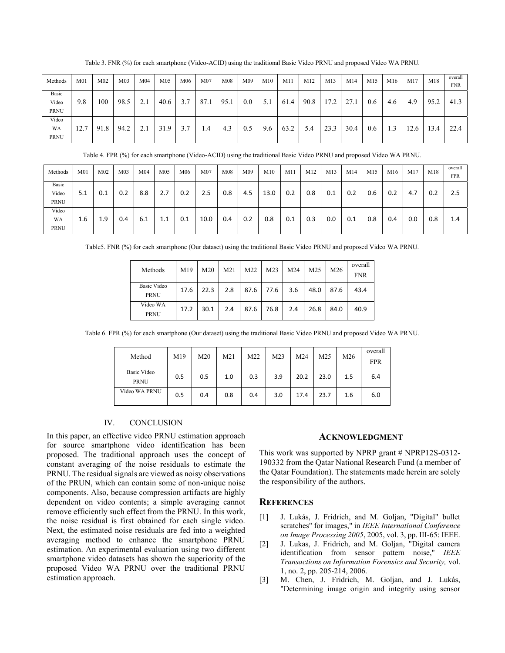| Methods                       | M <sub>01</sub> | M <sub>02</sub> | M <sub>03</sub> | M <sub>04</sub> | M <sub>05</sub> | M06 | M <sub>07</sub> | M08  | M09 | M10 | M11  | M12  | M13  | M14  | M15 | M16            | M17 | M18              | overall<br><b>FNR</b> |
|-------------------------------|-----------------|-----------------|-----------------|-----------------|-----------------|-----|-----------------|------|-----|-----|------|------|------|------|-----|----------------|-----|------------------|-----------------------|
| Basic<br>Video<br><b>PRNU</b> | 9.8             | 100             | 98.5            | 2.1             | 40.6            | 37  | 87.1            | 95.1 | 0.0 | 5.1 | 61.4 | 90.8 | 7.2  | 27.1 | 0.6 | 4.6            | 4.9 | 95.2             | 41.3                  |
| Video<br>WA<br><b>PRNU</b>    | 12.7            | 91.8            | 94.2            | ◠               | 31.9            |     | $\mathcal{A}$   | 4.3  | 0.5 | 9.6 | 63.2 | 5.4  | 23.3 | 30.4 | 0.6 | $\overline{a}$ | 2.6 | $\overline{3.4}$ | 22.4                  |

Table 3. FNR (%) for each smartphone (Video-ACID) using the traditional Basic Video PRNU and proposed Video WA PRNU.

Table 4. FPR (%) for each smartphone (Video-ACID) using the traditional Basic Video PRNU and proposed Video WA PRNU.

| Methods                       | M <sub>01</sub> | M <sub>02</sub> | M <sub>03</sub> | M <sub>04</sub> | M05 | M <sub>06</sub> | M <sub>07</sub> | M08 | M09 | M10  | M11 | M12 | M13 | M14 | M15 | M16 | M17 | M18 | overall<br>FPR |
|-------------------------------|-----------------|-----------------|-----------------|-----------------|-----|-----------------|-----------------|-----|-----|------|-----|-----|-----|-----|-----|-----|-----|-----|----------------|
| Basic<br>Video<br><b>PRNU</b> | 5.1             | 0.1             | 0.2             | 8.8             | 2.7 | 0.2             | 2.5             | 0.8 | 4.5 | 13.0 | 0.2 | 0.8 | 0.1 | 0.2 | 0.6 | 0.2 | 4.7 | 0.2 | 2.5            |
| Video<br>WA<br><b>PRNU</b>    | 1.6             | 1.9             | 0.4             | 6.1             | 1.1 | 0.1             | 10.0            | 0.4 | 0.2 | 0.8  | 0.1 | 0.3 | 0.0 | 0.1 | 0.8 | 0.4 | 0.0 | 0.8 | 1.4            |

Table5. FNR (%) for each smartphone (Our dataset) using the traditional Basic Video PRNU and proposed Video WA PRNU.

| Methods                           | M19  | M20  | M21 | M22  | M <sub>23</sub> | M24 | M <sub>25</sub> | M26  | overall<br><b>FNR</b> |
|-----------------------------------|------|------|-----|------|-----------------|-----|-----------------|------|-----------------------|
| <b>Basic Video</b><br><b>PRNU</b> | 17.6 | 22.3 | 2.8 | 87.6 | 77.6            | 3.6 | 48.0            | 87.6 | 43.4                  |
| Video WA<br><b>PRNU</b>           | 17.2 | 30.1 | 2.4 | 87.6 | 76.8            | 2.4 | 26.8            | 84.0 | 40.9                  |

Table 6. FPR (%) for each smartphone (Our dataset) using the traditional Basic Video PRNU and proposed Video WA PRNU.

| Method                            | M19 | M <sub>20</sub> | M <sub>21</sub> | M22 | M23 | M24  | M25  | M26 | overall<br><b>FPR</b> |
|-----------------------------------|-----|-----------------|-----------------|-----|-----|------|------|-----|-----------------------|
| <b>Basic Video</b><br><b>PRNU</b> | 0.5 | 0.5             | 1.0             | 0.3 | 3.9 | 20.2 | 23.0 | 1.5 | 6.4                   |
| Video WA PRNU                     | 0.5 | 0.4             | 0.8             | 0.4 | 3.0 | 17.4 | 23.7 | 1.6 | 6.0                   |

## IV. CONCLUSION

In this paper, an effective video PRNU estimation approach for source smartphone video identification has been proposed. The traditional approach uses the concept of constant averaging of the noise residuals to estimate the PRNU. The residual signals are viewed as noisy observations of the PRUN, which can contain some of non-unique noise components. Also, because compression artifacts are highly dependent on video contents; a simple averaging cannot remove efficiently such effect from the PRNU. In this work, the noise residual is first obtained for each single video. Next, the estimated noise residuals are fed into a weighted averaging method to enhance the smartphone PRNU estimation. An experimental evaluation using two different smartphone video datasets has shown the superiority of the proposed Video WA PRNU over the traditional PRNU estimation approach.

#### **ACKNOWLEDGMENT**

This work was supported by NPRP grant # NPRP12S-0312- 190332 from the Qatar National Research Fund (a member of the Qatar Foundation). The statements made herein are solely the responsibility of the authors.

# **REFERENCES**

- [1] J. Lukás, J. Fridrich, and M. Goljan, "Digital" bullet scratches" for images," in *IEEE International Conference on Image Processing 2005*, 2005, vol. 3, pp. III-65: IEEE.
- [2] J. Lukas, J. Fridrich, and M. Goljan, "Digital camera identification from sensor pattern noise," *IEEE Transactions on Information Forensics and Security,* vol. 1, no. 2, pp. 205-214, 2006.
- [3] M. Chen, J. Fridrich, M. Goljan, and J. Lukás, "Determining image origin and integrity using sensor